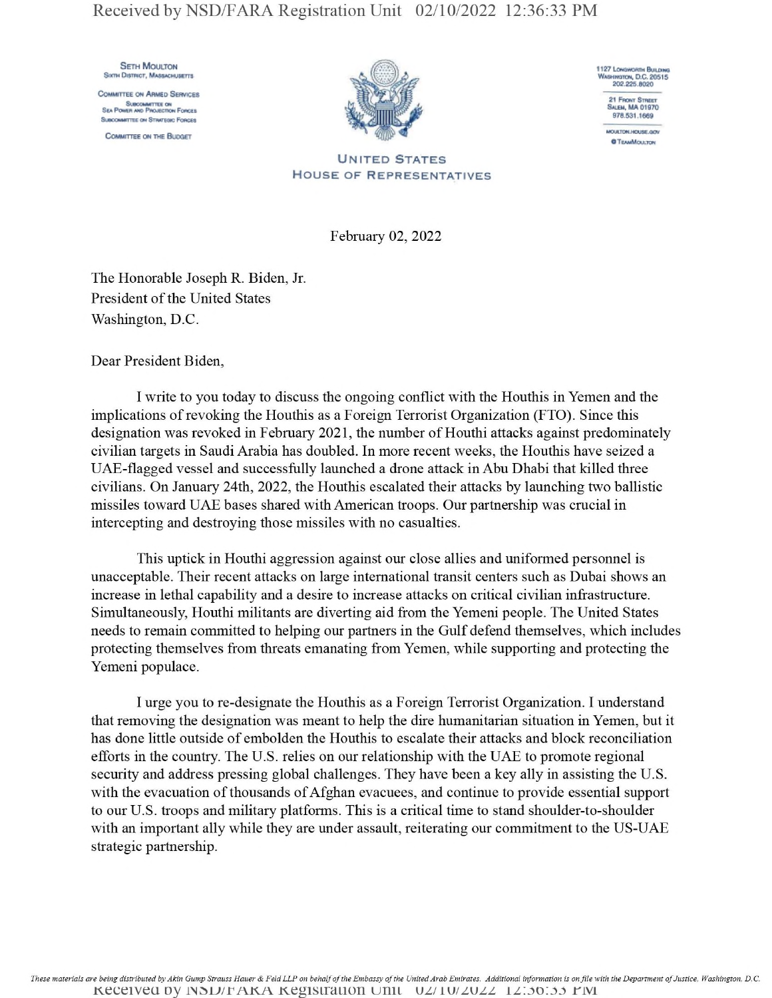## Received by NSD/FARA Registration Unit 02/10/2022 12:36:33 PM

**SETH MOULTON** SIXTH DISTRICT, MASSACHUSETTS

Committee on Ahmed Services SUBCOMMTTEE ON<br>Sea Power and Projection Forces **Suecomettre on Struttgac Forces** 

Committee on the Buooet





MOULTON, HOUSE, GOV **OTEAMMCULTON** 

United States House of Representatives

February 02, 2022

The Honorable Joseph R. Biden, Jr. President of the United States Washington, D.C.

Dear President Biden,

I write to you today to discuss the ongoing conflict with the Houthis in Yemen and the implications of revoking the Houthis as a Foreign Terrorist Organization (FTO). Since this designation was revoked in February 2021, the number of Houthi attacks against predominately civilian targets in Saudi Arabia has doubled. In more recent weeks, the Houthis have seized a UAE-flagged vessel and successfully launched a drone attack in Abu Dhabi that killed three civilians. On January 24th, 2022, the Houthis escalated their attacks by launching two ballistic missiles toward UAE bases shared with American troops. Our partnership was crucial in intercepting and destroying those missiles with no casualties.

This uptick in Houthi aggression against our close allies and uniformed personnel is unacceptable. Their recent attacks on large international transit centers such as Dubai shows an increase in lethal capability and a desire to increase attacks on critical civilian infrastructure. Simultaneously, Houthi militants are diverting aid from the Yemeni people. The United States needs to remain committed to helping our partners in the Gulf defend themselves, which includes protecting themselves from threats emanating from Yemen, while supporting and protecting the Yemeni populace.

I urge you to re-designate the Houthis as a Foreign Terrorist Organization. I understand that removing the designation was meant to help the dire humanitarian situation in Yemen, but it has done little outside of embolden the Houthis to escalate their attacks and block reconciliation efforts in the country. The U.S. relies on our relationship with the UAE to promote regional security and address pressing global challenges. They have been a key ally in assisting the U.S. with the evacuation of thousands of Afghan evacuees, and continue to provide essential support to our U.S. troops and military platforms. This is a critical time to stand shoulder-to-shoulder with an important ally while they are under assault, reiterating our commitment to the US-UAE strategic partnership.